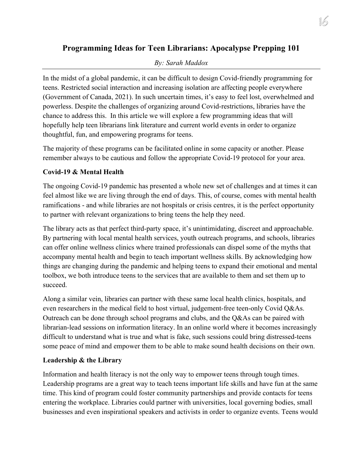# **Programming Ideas for Teen Librarians: Apocalypse Prepping 101**

# *By: Sarah Maddox*

In the midst of a global pandemic, it can be difficult to design Covid-friendly programming for teens. Restricted social interaction and increasing isolation are affecting people everywhere (Government of Canada, 2021). In such uncertain times, it's easy to feel lost, overwhelmed and powerless. Despite the challenges of organizing around Covid-restrictions, libraries have the chance to address this. In this article we will explore a few programming ideas that will hopefully help teen librarians link literature and current world events in order to organize thoughtful, fun, and empowering programs for teens.

The majority of these programs can be facilitated online in some capacity or another. Please remember always to be cautious and follow the appropriate Covid-19 protocol for your area.

# **Covid-19 & Mental Health**

The ongoing Covid-19 pandemic has presented a whole new set of challenges and at times it can feel almost like we are living through the end of days. This, of course, comes with mental health ramifications - and while libraries are not hospitals or crisis centres, it is the perfect opportunity to partner with relevant organizations to bring teens the help they need.

The library acts as that perfect third-party space, it's unintimidating, discreet and approachable. By partnering with local mental health services, youth outreach programs, and schools, libraries can offer online wellness clinics where trained professionals can dispel some of the myths that accompany mental health and begin to teach important wellness skills. By acknowledging how things are changing during the pandemic and helping teens to expand their emotional and mental toolbox, we both introduce teens to the services that are available to them and set them up to succeed.

Along a similar vein, libraries can partner with these same local health clinics, hospitals, and even researchers in the medical field to host virtual, judgement-free teen-only Covid Q&As. Outreach can be done through school programs and clubs, and the Q&As can be paired with librarian-lead sessions on information literacy. In an online world where it becomes increasingly difficult to understand what is true and what is fake, such sessions could bring distressed-teens some peace of mind and empower them to be able to make sound health decisions on their own.

## **Leadership & the Library**

Information and health literacy is not the only way to empower teens through tough times. Leadership programs are a great way to teach teens important life skills and have fun at the same time. This kind of program could foster community partnerships and provide contacts for teens entering the workplace. Libraries could partner with universities, local governing bodies, small businesses and even inspirational speakers and activists in order to organize events. Teens would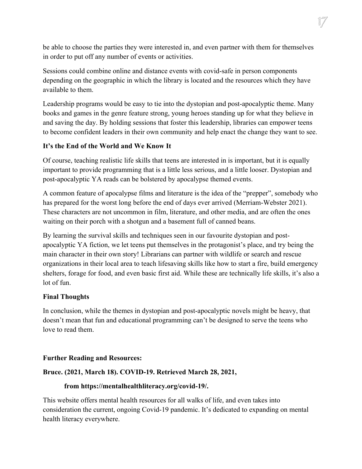be able to choose the parties they were interested in, and even partner with them for themselves in order to put off any number of events or activities.

Sessions could combine online and distance events with covid-safe in person components depending on the geographic in which the library is located and the resources which they have available to them.

Leadership programs would be easy to tie into the dystopian and post-apocalyptic theme. Many books and games in the genre feature strong, young heroes standing up for what they believe in and saving the day. By holding sessions that foster this leadership, libraries can empower teens to become confident leaders in their own community and help enact the change they want to see.

### **It's the End of the World and We Know It**

Of course, teaching realistic life skills that teens are interested in is important, but it is equally important to provide programming that is a little less serious, and a little looser. Dystopian and post-apocalyptic YA reads can be bolstered by apocalypse themed events.

A common feature of apocalypse films and literature is the idea of the "prepper", somebody who has prepared for the worst long before the end of days ever arrived (Merriam-Webster 2021). These characters are not uncommon in film, literature, and other media, and are often the ones waiting on their porch with a shotgun and a basement full of canned beans.

By learning the survival skills and techniques seen in our favourite dystopian and postapocalyptic YA fiction, we let teens put themselves in the protagonist's place, and try being the main character in their own story! Librarians can partner with wildlife or search and rescue organizations in their local area to teach lifesaving skills like how to start a fire, build emergency shelters, forage for food, and even basic first aid. While these are technically life skills, it's also a lot of fun.

### **Final Thoughts**

In conclusion, while the themes in dystopian and post-apocalyptic novels might be heavy, that doesn't mean that fun and educational programming can't be designed to serve the teens who love to read them.

### **Further Reading and Resources:**

### **Bruce. (2021, March 18). COVID-19. Retrieved March 28, 2021,**

#### **from https://mentalhealthliteracy.org/covid-19/.**

This website offers mental health resources for all walks of life, and even takes into consideration the current, ongoing Covid-19 pandemic. It's dedicated to expanding on mental health literacy everywhere.